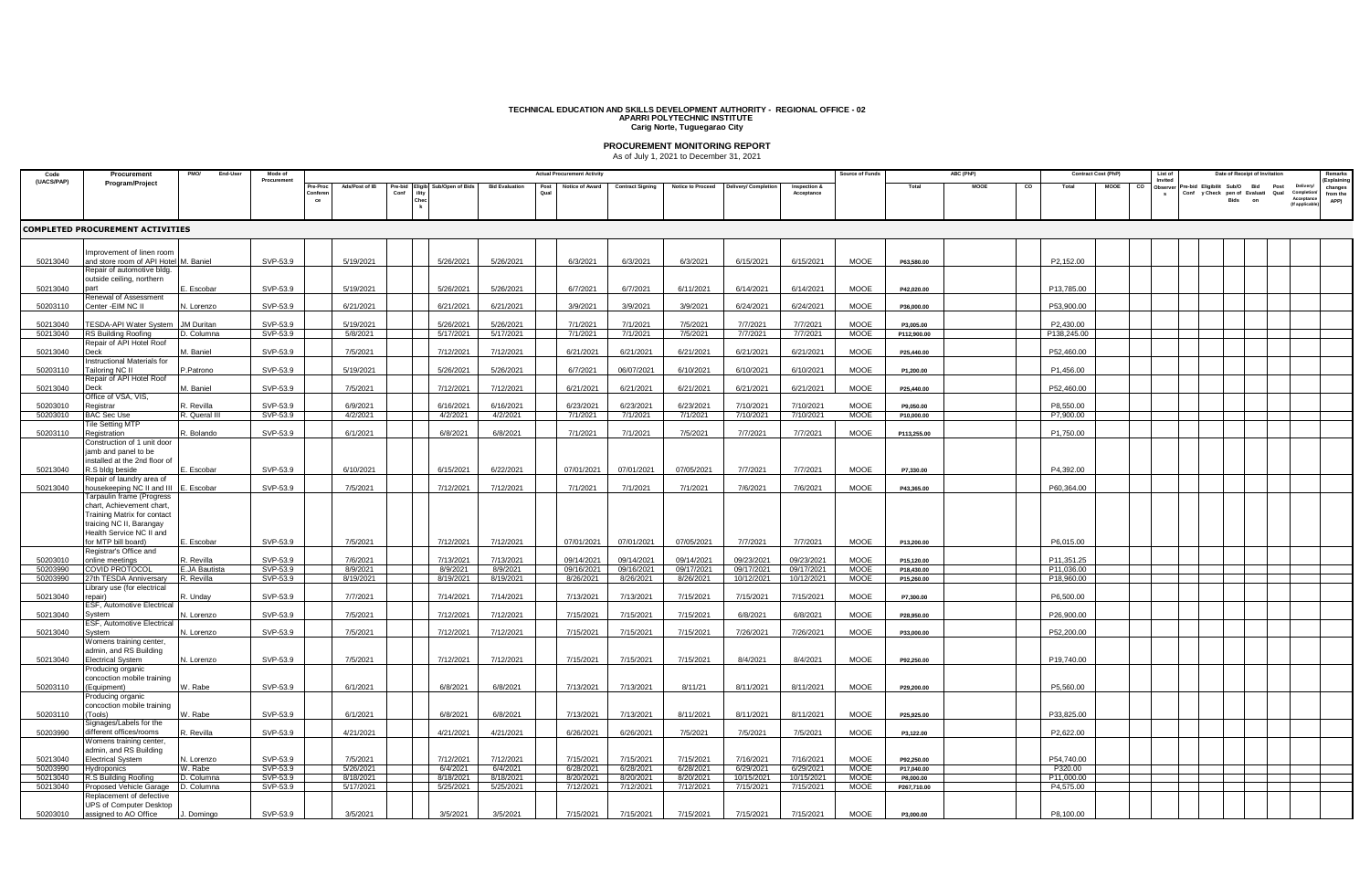## **TECHNICAL EDUCATION AND SKILLS DEVELOPMENT AUTHORITY - REGIONAL OFFICE - 02 APARRI POLYTECHNIC INSTITUTE Carig Norte, Tuguegarao City**

**PROCUREMENT MONITORING REPORT** As of July 1, 2021 to December 31, 2021

| Code                 | Procurement                                                       | End-Use<br><b>PMO/</b> | Mode of              |               |                        |        |                       |                       | <b>Actual Procurement Activity</b> |                         |                          |                         |                         | Source of Fund             |                         | ABC (PhP) |    |                       | <b>Contract Cost (PhP)</b> | List of           |                     | Date of Receipt of Invitation           |                 |                             |
|----------------------|-------------------------------------------------------------------|------------------------|----------------------|---------------|------------------------|--------|-----------------------|-----------------------|------------------------------------|-------------------------|--------------------------|-------------------------|-------------------------|----------------------------|-------------------------|-----------|----|-----------------------|----------------------------|-------------------|---------------------|-----------------------------------------|-----------------|-----------------------------|
| (UACS/PAP)           | Program/Project                                                   |                        | Procuremen           |               | Ads/Post of IE         | re-bic | Sub/Open of Bio       | <b>Bid Evaluatio</b>  | otice of Award                     | <b>Contract Signing</b> | <b>Notice to Proceed</b> | livery/ Complet         | Inspection &            |                            | Total                   | MOOE      | co | Total                 | MOOE                       | Invited<br>)bserv | Eligibilit<br>Sub/O | <b>Bid</b>                              | Post<br>Deliver | Explainir                   |
|                      |                                                                   |                        |                      | Confere<br>ce |                        | Conf   |                       |                       |                                    |                         |                          |                         | Acceptance              |                            |                         |           |    |                       |                            | s                 | Bids                | Conf y Check pen of Evaluati Qual<br>on | Acceptano       | changes<br>from the<br>APP) |
|                      |                                                                   |                        |                      |               |                        |        |                       |                       |                                    |                         |                          |                         |                         |                            |                         |           |    |                       |                            |                   |                     |                                         | (If applica     |                             |
|                      |                                                                   |                        |                      |               |                        |        |                       |                       |                                    |                         |                          |                         |                         |                            |                         |           |    |                       |                            |                   |                     |                                         |                 |                             |
|                      | COMPLETED PROCUREMENT ACTIVITIES                                  |                        |                      |               |                        |        |                       |                       |                                    |                         |                          |                         |                         |                            |                         |           |    |                       |                            |                   |                     |                                         |                 |                             |
|                      |                                                                   |                        |                      |               |                        |        |                       |                       |                                    |                         |                          |                         |                         |                            |                         |           |    |                       |                            |                   |                     |                                         |                 |                             |
| 50213040             | mprovement of linen room<br>and store room of API Hotel M. Baniel |                        | SVP-53.9             |               | 5/19/2021              |        | 5/26/2021             | 5/26/2021             | 6/3/2021                           | 6/3/2021                | 6/3/2021                 | 6/15/2021               | 6/15/2021               | <b>MOOE</b>                | P63,580.00              |           |    | P2.152.00             |                            |                   |                     |                                         |                 |                             |
|                      | Repair of automotive bldg.                                        |                        |                      |               |                        |        |                       |                       |                                    |                         |                          |                         |                         |                            |                         |           |    |                       |                            |                   |                     |                                         |                 |                             |
|                      | outside ceiling, northern                                         |                        |                      |               |                        |        |                       |                       |                                    |                         |                          |                         |                         |                            |                         |           |    |                       |                            |                   |                     |                                         |                 |                             |
| 50213040             | Renewal of Assessment                                             | . Escobar              | SVP-53.9             |               | 5/19/2021              |        | 5/26/2021             | 5/26/2021             | 6/7/2021                           | 6/7/2021                | 6/11/2021                | 6/14/2021               | 6/14/2021               | MOOE                       | P42,020.00              |           |    | P13,785.00            |                            |                   |                     |                                         |                 |                             |
| 50203110             | Center -EIM NC II                                                 | N. Lorenzo             | SVP-53.9             |               | 6/21/2021              |        | 6/21/2021             | 6/21/2021             | 3/9/2021                           | 3/9/2021                | 3/9/2021                 | 6/24/2021               | 6/24/2021               | MOOE                       | P36,000.00              |           |    | P53,900.00            |                            |                   |                     |                                         |                 |                             |
| 50213040             | FESDA-API Water System                                            | M Duritan              | SVP-53.9             |               | 5/19/2021              |        | 5/26/202              | 5/26/2021             | 7/1/2021                           | 7/1/2021                | 7/5/2021                 | 7/7/2021                | 7/7/2021                | MOOE                       | P3,005.00               |           |    | P2,430.00             |                            |                   |                     |                                         |                 |                             |
| 50213040             | RS Building Roofing                                               | D. Columna             | SVP-53.9             |               | 5/8/2021               |        | 5/17/2021             | 5/17/2021             | 7/1/2021                           | 7/1/2021                | 7/5/2021                 | 7/7/2021                | 7/7/2021                | MOOE                       | P112,900.00             |           |    | P138,245.00           |                            |                   |                     |                                         |                 |                             |
|                      | Repair of API Hotel Roof                                          |                        |                      |               |                        |        |                       |                       |                                    |                         |                          |                         |                         |                            |                         |           |    |                       |                            |                   |                     |                                         |                 |                             |
| 50213040             | <b>Deck</b><br>nstructional Materials for                         | M. Baniel              | SVP-53.9             |               | 7/5/2021               |        | 7/12/2021             | 7/12/2021             | 6/21/2021                          | 6/21/2021               | 6/21/2021                | 6/21/2021               | 6/21/2021               | MOOE                       | P25,440.00              |           |    | P52,460.00            |                            |                   |                     |                                         |                 |                             |
| 50203110             | ailoring NC II                                                    | P.Patrono              | SVP-53.9             |               | 5/19/2021              |        | 5/26/2021             | 5/26/2021             | 6/7/2021                           | 06/07/2021              | 6/10/2021                | 6/10/2021               | 6/10/2021               | MOOE                       | P1,200.00               |           |    | P1,456.00             |                            |                   |                     |                                         |                 |                             |
| 50213040             | Repair of API Hotel Roof<br>Deck                                  | M. Baniel              | SVP-53.9             |               | 7/5/2021               |        | 7/12/2021             | 7/12/2021             | 6/21/2021                          | 6/21/2021               | 6/21/2021                | 6/21/2021               | 6/21/2021               | MOOE                       | P25,440.00              |           |    | P52,460.00            |                            |                   |                     |                                         |                 |                             |
|                      | Office of VSA, VIS                                                |                        |                      |               |                        |        |                       |                       |                                    |                         |                          |                         |                         |                            |                         |           |    |                       |                            |                   |                     |                                         |                 |                             |
| 50203010             | Registrar                                                         | R. Revilla             | SVP-53.9             |               | 6/9/2021               |        | 6/16/2021             | 6/16/2021             | 6/23/202                           | 6/23/2021               | 6/23/2021                | 7/10/2021               | 7/10/2021               | <b>MOOE</b>                | P9,050.00               |           |    | P8.550.00             |                            |                   |                     |                                         |                 |                             |
| 50203010             | <b>BAC Sec Use</b><br>Tile Setting MTP                            | R. Queral III          | SVP-53.9             |               | 4/2/2021               |        | 4/2/2021              | 4/2/2021              | 7/1/2021                           | 7/1/2021                | 7/1/2021                 | 7/10/2021               | 7/10/2021               | <b>MOOE</b>                | P10,000.00              |           |    | P7.900.00             |                            |                   |                     |                                         |                 |                             |
| 50203110             | Registration                                                      | R. Bolando             | SVP-53.9             |               | 6/1/2021               |        | 6/8/2021              | 6/8/2021              | 7/1/2021                           | 7/1/2021                | 7/5/2021                 | 7/7/2021                | 7/7/2021                | MOOE                       | P113,255.00             |           |    | P1,750.00             |                            |                   |                     |                                         |                 |                             |
|                      | Construction of 1 unit door                                       |                        |                      |               |                        |        |                       |                       |                                    |                         |                          |                         |                         |                            |                         |           |    |                       |                            |                   |                     |                                         |                 |                             |
|                      | jamb and panel to be<br>nstalled at the 2nd floor of              |                        |                      |               |                        |        |                       |                       |                                    |                         |                          |                         |                         |                            |                         |           |    |                       |                            |                   |                     |                                         |                 |                             |
| 50213040             | R.S bldg beside                                                   | . Escobar              | SVP-53.9             |               | 6/10/2021              |        | 6/15/2021             | 6/22/2021             | 07/01/2021                         | 07/01/2021              | 07/05/2021               | 7/7/2021                | 7/7/2021                | <b>MOOE</b>                | P7,330.00               |           |    | P4,392.00             |                            |                   |                     |                                         |                 |                             |
| 50213040             | Repair of laundry area of<br>housekeeping NC II and III           | Escobar                | SVP-53.9             |               | 7/5/2021               |        | 7/12/2021             | 7/12/2021             | 7/1/2021                           | 7/1/2021                | 7/1/2021                 | 7/6/2021                | 7/6/2021                | MOOE                       | P43,365.00              |           |    | P60.364.00            |                            |                   |                     |                                         |                 |                             |
|                      | 『arpaulin frame (Progress                                         |                        |                      |               |                        |        |                       |                       |                                    |                         |                          |                         |                         |                            |                         |           |    |                       |                            |                   |                     |                                         |                 |                             |
|                      | chart, Achievement chart,                                         |                        |                      |               |                        |        |                       |                       |                                    |                         |                          |                         |                         |                            |                         |           |    |                       |                            |                   |                     |                                         |                 |                             |
|                      | Training Matrix for contact<br>traicing NC II, Barangay           |                        |                      |               |                        |        |                       |                       |                                    |                         |                          |                         |                         |                            |                         |           |    |                       |                            |                   |                     |                                         |                 |                             |
|                      | Health Service NC II and                                          |                        |                      |               |                        |        |                       |                       |                                    |                         |                          |                         |                         |                            |                         |           |    |                       |                            |                   |                     |                                         |                 |                             |
|                      | for MTP bill board)<br>Registrar's Office and                     | :. Escobar             | SVP-53.9             |               | 7/5/2021               |        | 7/12/2021             | 7/12/2021             | 07/01/2021                         | 07/01/2021              | 07/05/2021               | 7/7/2021                | 7/7/2021                | MOOE                       | P13,200.00              |           |    | P6,015.00             |                            |                   |                     |                                         |                 |                             |
| 50203010             | online meetings                                                   | २. Revilla             | SVP-53.9             |               | 7/6/2021               |        | 7/13/2021             | 7/13/2021             | 09/14/2021                         | 09/14/2021              | 09/14/2021               | 09/23/2021              | 09/23/2021              | <b>MOOE</b>                | P15,120.00              |           |    | P11.351.25            |                            |                   |                     |                                         |                 |                             |
| 50203990             | COVID PROTOCOL                                                    | E.JA Bautista          | SVP-53.9             |               | 8/9/2021               |        | 8/9/2021              | 8/9/2021              | 09/16/2021                         | 09/16/2021              | 09/17/2021               | 09/17/2021              | 09/17/2021              | <b>MOOE</b>                | P18,430.00              |           |    | P11,036.00            |                            |                   |                     |                                         |                 |                             |
| 50203990             | 27th TESDA Anniversary<br>ibrary use (for electrical              | R. Revilla             | SVP-53.9             |               | 8/19/2021              |        | 8/19/202              | 8/19/2021             | 8/26/2021                          | 8/26/2021               | 8/26/2021                | 10/12/2021              | 10/12/2021              | <b>MOOE</b>                | P15,260.00              |           |    | P18,960.00            |                            |                   |                     |                                         |                 |                             |
| 50213040             | 'enair)                                                           | R. Unday               | SVP-53.9             |               | 7/7/2021               |        | 7/14/2021             | 7/14/2021             | 7/13/2021                          | 7/13/2021               | 7/15/2021                | 7/15/2021               | 7/15/2021               | MOOE                       | P7,300.00               |           |    | P6,500.00             |                            |                   |                     |                                         |                 |                             |
| 50213040             | ESF, Automotive Electrical<br>Svstem                              | N. Lorenzo             | SVP-53.9             |               | 7/5/2021               |        | 7/12/2021             | 7/12/2021             | 7/15/2021                          | 7/15/2021               | 7/15/2021                | 6/8/2021                | 6/8/2021                | MOOE                       |                         |           |    | P26,900.00            |                            |                   |                     |                                         |                 |                             |
|                      | ESF, Automotive Electrical                                        |                        |                      |               |                        |        |                       |                       |                                    |                         |                          |                         |                         |                            | P28,950.00              |           |    |                       |                            |                   |                     |                                         |                 |                             |
| 50213040             | System                                                            | N. Lorenzo             | SVP-53.9             |               | 7/5/2021               |        | 7/12/2021             | 7/12/2021             | 7/15/2021                          | 7/15/2021               | 7/15/2021                | 7/26/2021               | 7/26/2021               | MOOE                       | P33,000.00              |           |    | P52,200.00            |                            |                   |                     |                                         |                 |                             |
|                      | Womens training center,<br>admin, and RS Building                 |                        |                      |               |                        |        |                       |                       |                                    |                         |                          |                         |                         |                            |                         |           |    |                       |                            |                   |                     |                                         |                 |                             |
| 50213040             | <b>Electrical System</b>                                          | N. Lorenzo             | SVP-53.9             |               | 7/5/2021               |        | 7/12/2021             | 7/12/2021             | 7/15/2021                          | 7/15/2021               | 7/15/2021                | 8/4/2021                | 8/4/2021                | MOOE                       | P92,250.00              |           |    | P19.740.00            |                            |                   |                     |                                         |                 |                             |
|                      | Producing organic                                                 |                        |                      |               |                        |        |                       |                       |                                    |                         |                          |                         |                         |                            |                         |           |    |                       |                            |                   |                     |                                         |                 |                             |
| 50203110             | concoction mobile training<br>(Equipment)                         | W. Rabe                | SVP-53.9             |               | 6/1/2021               |        | 6/8/2021              | 6/8/2021              | 7/13/2021                          | 7/13/2021               | 8/11/21                  | 8/11/2021               | 8/11/2021               | MOOE                       | P29,200.00              |           |    | P5,560.00             |                            |                   |                     |                                         |                 |                             |
|                      | Producing organic                                                 |                        |                      |               |                        |        |                       |                       |                                    |                         |                          |                         |                         |                            |                         |           |    |                       |                            |                   |                     |                                         |                 |                             |
| 50203110             | concoction mobile training<br>(Tools)                             | W. Rabe                | SVP-53.9             |               | 6/1/2021               |        | 6/8/2021              | 6/8/2021              | 7/13/2021                          | 7/13/2021               | 8/11/2021                | 8/11/2021               | 8/11/2021               | <b>MOOE</b>                | P25,925.00              |           |    | P33.825.00            |                            |                   |                     |                                         |                 |                             |
|                      | Signages/Labels for the                                           |                        |                      |               |                        |        |                       |                       |                                    |                         |                          |                         |                         |                            |                         |           |    |                       |                            |                   |                     |                                         |                 |                             |
| 50203990             | different offices/rooms                                           | R. Revilla             | SVP-53.9             |               | 4/21/2021              |        | 4/21/2021             | 4/21/2021             | 6/26/2021                          | 6/26/2021               | 7/5/2021                 | 7/5/2021                | 7/5/2021                | MOOE                       | P3,122.00               |           |    | P2,622.00             |                            |                   |                     |                                         |                 |                             |
|                      | Womens training center,<br>admin, and RS Building                 |                        |                      |               |                        |        |                       |                       |                                    |                         |                          |                         |                         |                            |                         |           |    |                       |                            |                   |                     |                                         |                 |                             |
| 50213040             | <b>Electrical System</b>                                          | N. Lorenzo             | SVP-53.9             |               | 7/5/2021               |        | 7/12/2021             | 7/12/2021             | 7/15/2021                          | 7/15/2021               | 7/15/2021                | 7/16/2021               | 7/16/2021               | MOOE                       | P92,250.00              |           |    | P54,740.00            |                            |                   |                     |                                         |                 |                             |
| 50203990<br>50213040 | Hydroponics<br>R.S Building Roofing                               | W. Rabe<br>D. Columna  | SVP-53.9<br>SVP-53.9 |               | 5/26/2021<br>8/18/2021 |        | 6/4/2021<br>8/18/2021 | 6/4/2021<br>8/18/2021 | 6/28/2021<br>8/20/2021             | 6/28/2021<br>8/20/2021  | 6/28/2021<br>8/20/2021   | 6/29/2021<br>10/15/2021 | 6/29/2021<br>10/15/2021 | <b>MOOE</b><br><b>MOOE</b> | P17,040.00<br>P8,000.00 |           |    | P320.00<br>P11.000.00 |                            |                   |                     |                                         |                 |                             |
| 50213040             | Proposed Vehicle Garage                                           | D. Columna             | SVP-53.9             |               | 5/17/2021              |        | 5/25/2021             | 5/25/2021             | 7/12/2021                          | 7/12/2021               | 7/12/2021                | 7/15/2021               | 7/15/2021               | <b>MOOE</b>                | P267,710.00             |           |    | P4.575.00             |                            |                   |                     |                                         |                 |                             |
|                      | Replacement of defective                                          |                        |                      |               |                        |        |                       |                       |                                    |                         |                          |                         |                         |                            |                         |           |    |                       |                            |                   |                     |                                         |                 |                             |
| 50203010             | UPS of Computer Desktop<br>assigned to AO Office                  | Domingo                | SVP-53.9             |               | 3/5/2021               |        | 3/5/2021              | 3/5/2021              | 7/15/2021                          | 7/15/2021               | 7/15/2021                | 7/15/2021               | 7/15/2021               | <b>MOOE</b>                | P3,000.00               |           |    | P8.100.00             |                            |                   |                     |                                         |                 |                             |
|                      |                                                                   |                        |                      |               |                        |        |                       |                       |                                    |                         |                          |                         |                         |                            |                         |           |    |                       |                            |                   |                     |                                         |                 |                             |